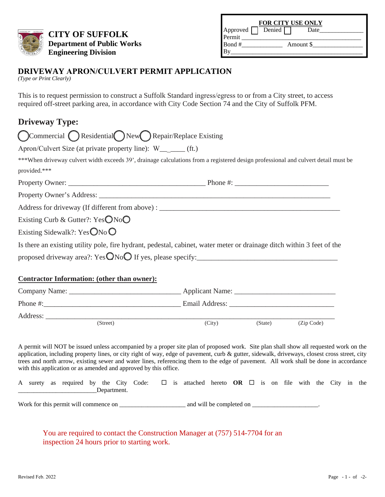

**CITY OF SUFFOLK Department of Public Works Engineering Division** 

| <b>FOR CITY USE ONLY</b> |          |           |  |  |  |  |  |  |  |  |
|--------------------------|----------|-----------|--|--|--|--|--|--|--|--|
| Approved<br>Permit       | Denied [ | Date      |  |  |  |  |  |  |  |  |
|                          |          |           |  |  |  |  |  |  |  |  |
| Bond#                    |          | Amount \$ |  |  |  |  |  |  |  |  |
|                          |          |           |  |  |  |  |  |  |  |  |

## **DRIVEWAY APRON/CULVERT PERMIT APPLICATION**

*(Type or Print Clearly)*

This is to request permission to construct a Suffolk Standard ingress/egress to or from a City street, to access required off-street parking area, in accordance with City Code Section 74 and the City of Suffolk PFM.

## **Driveway Type:**

| Commercial Residential New Repair/Replace Existing                                                                                 |        |         |            |
|------------------------------------------------------------------------------------------------------------------------------------|--------|---------|------------|
| Apron/Culvert Size (at private property line): W <sub>__</sub> ____ (ft.)                                                          |        |         |            |
| ***When driveway culvert width exceeds 39', drainage calculations from a registered design professional and culvert detail must be |        |         |            |
| provided.***                                                                                                                       |        |         |            |
|                                                                                                                                    |        |         |            |
|                                                                                                                                    |        |         |            |
|                                                                                                                                    |        |         |            |
| Existing Curb & Gutter?: $YesONoO$                                                                                                 |        |         |            |
| Existing Sidewalk?: Yes $\mathbb{O}$ No $\mathbb{O}$                                                                               |        |         |            |
| Is there an existing utility pole, fire hydrant, pedestal, cabinet, water meter or drainage ditch within 3 feet of the             |        |         |            |
|                                                                                                                                    |        |         |            |
|                                                                                                                                    |        |         |            |
| <b>Contractor Information: (other than owner):</b>                                                                                 |        |         |            |
|                                                                                                                                    |        |         |            |
|                                                                                                                                    |        |         |            |
|                                                                                                                                    |        |         |            |
| (Street)                                                                                                                           | (City) | (State) | (Zip Code) |

A permit will NOT be issued unless accompanied by a proper site plan of proposed work. Site plan shall show all requested work on the application, including property lines, or city right of way, edge of pavement, curb & gutter, sidewalk, driveways, closest cross street, city trees and north arrow, existing sewer and water lines, referencing them to the edge of pavement. All work shall be done in accordance with this application or as amended and approved by this office.

|             |  |  | A surety as required by the City Code: $\square$ is attached hereto OR $\square$ is on file with the City in the |  |  |  |  |  |  |  |  |  |  |  |  |
|-------------|--|--|------------------------------------------------------------------------------------------------------------------|--|--|--|--|--|--|--|--|--|--|--|--|
| Department. |  |  |                                                                                                                  |  |  |  |  |  |  |  |  |  |  |  |  |

Work for this permit will commence on \_\_\_\_\_\_\_\_\_\_\_\_\_\_\_\_\_\_\_\_\_ and will be completed on \_\_\_\_\_\_\_\_\_\_\_\_\_\_\_\_\_\_\_\_\_.

You are required to contact the Construction Manager at (757) 514-7704 for an inspection 24 hours prior to starting work.